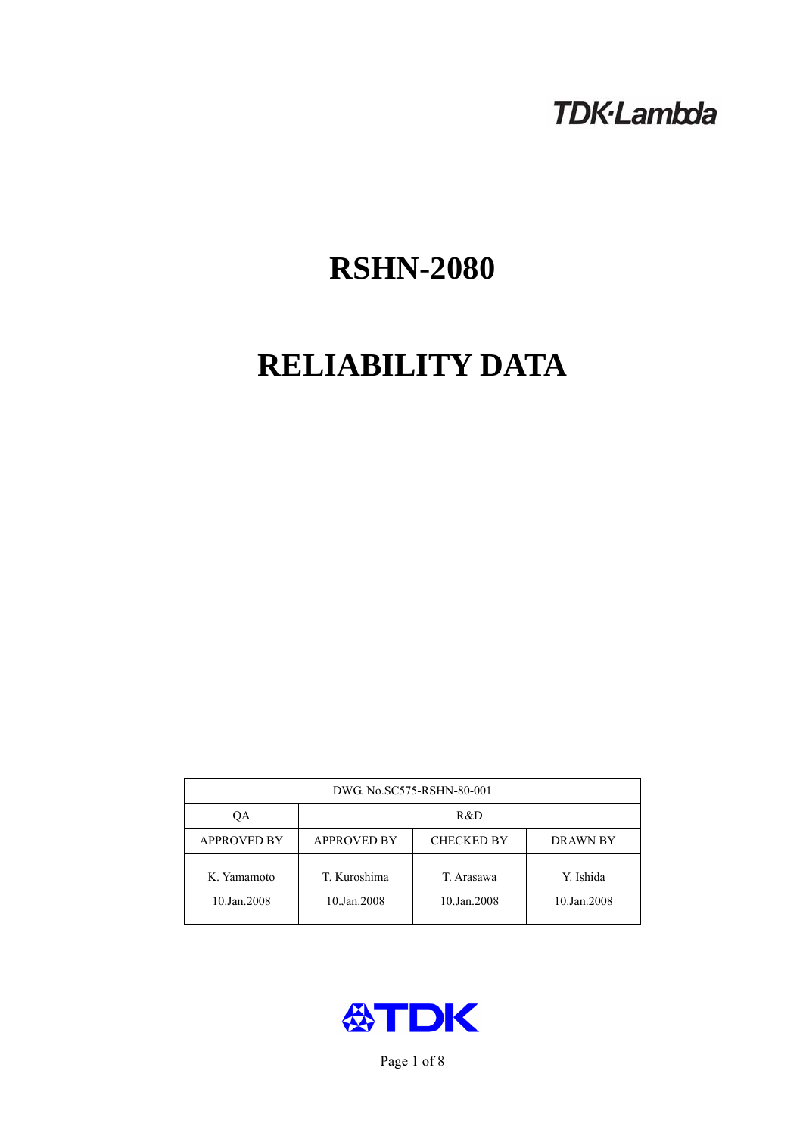## **TDK-Lambda**

# **RSHN-2080**

# **RELIABILITY DATA**

| DWG No.SC575-RSHN-80-001   |                             |                           |                          |  |
|----------------------------|-----------------------------|---------------------------|--------------------------|--|
| ОA                         | R&D                         |                           |                          |  |
| <b>APPROVED BY</b>         | <b>APPROVED BY</b>          | <b>CHECKED BY</b>         | <b>DRAWN BY</b>          |  |
| K. Yamamoto<br>10.Jan.2008 | T. Kuroshima<br>10.Jan.2008 | T. Arasawa<br>10.Jan.2008 | Y. Ishida<br>10.Jan.2008 |  |



Page 1 of 8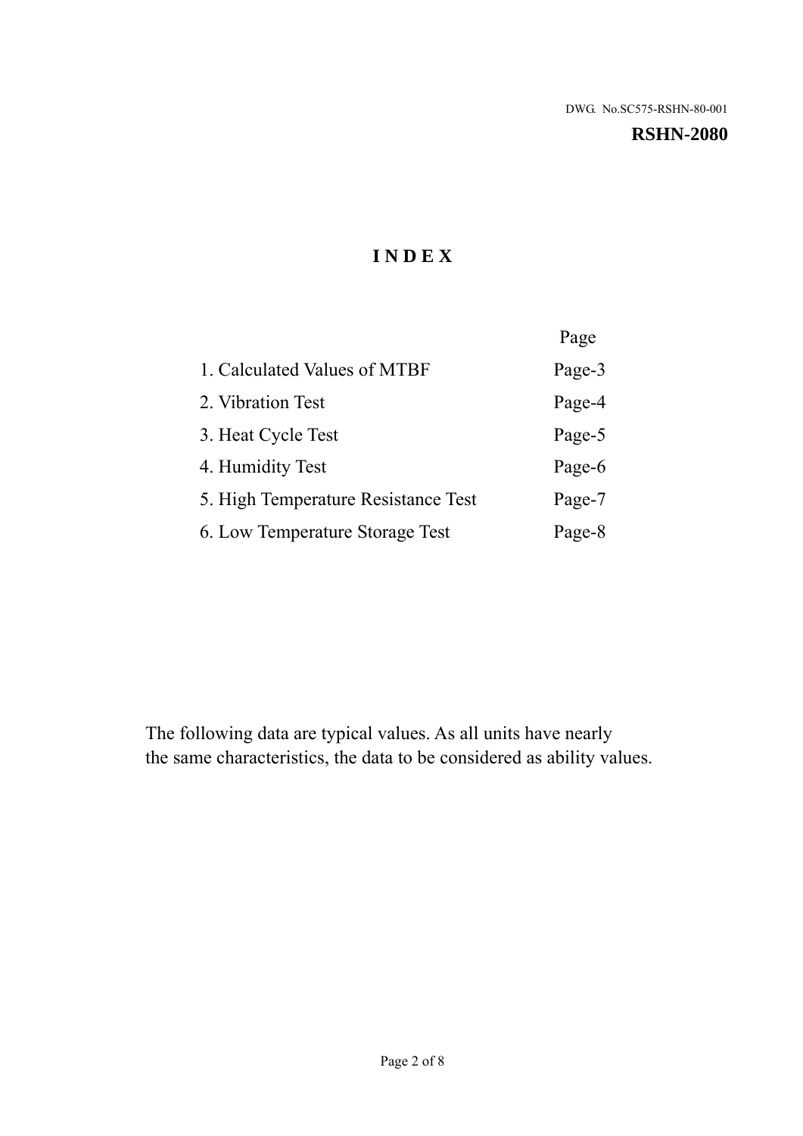#### **RSHN-2080**

## **I N D E X**

|                                     | Page   |
|-------------------------------------|--------|
| 1. Calculated Values of MTBF        | Page-3 |
| 2. Vibration Test                   | Page-4 |
| 3. Heat Cycle Test                  | Page-5 |
| 4. Humidity Test                    | Page-6 |
| 5. High Temperature Resistance Test | Page-7 |
| 6. Low Temperature Storage Test     | Page-8 |

The following data are typical values. As all units have nearly the same characteristics, the data to be considered as ability values.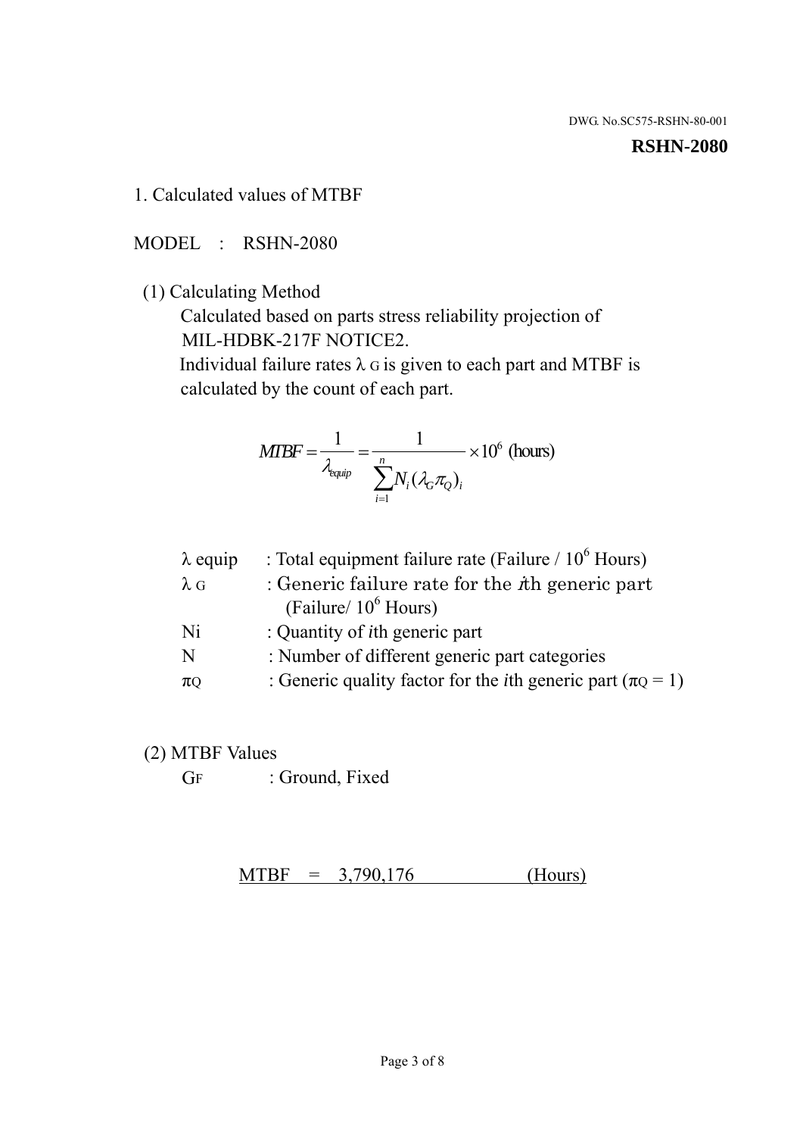#### **RSHN-2080**

1. Calculated values of MTBF

MODEL : RSHN-2080

(1) Calculating Method

 Calculated based on parts stress reliability projection of MIL-HDBK-217F NOTICE2.

Individual failure rates  $\lambda$  G is given to each part and MTBF is calculated by the count of each part.

$$
MTBF = \frac{1}{\lambda_{\text{equip}}} = \frac{1}{\sum_{i=1}^{n} N_i (\lambda_G \pi_Q)_i} \times 10^6 \text{ (hours)}
$$

| $\lambda$ equip | : Total equipment failure rate (Failure $/ 10^6$ Hours)                   |
|-----------------|---------------------------------------------------------------------------|
| $\lambda$ G     | : Generic failure rate for the $\hbar$ generic part                       |
|                 | (Failure/ $10^6$ Hours)                                                   |
| Ni              | : Quantity of <i>i</i> th generic part                                    |
| N               | : Number of different generic part categories                             |
| $\pi$ Q         | : Generic quality factor for the <i>i</i> th generic part ( $\pi Q = 1$ ) |

- (2) MTBF Values
	- GF : Ground, Fixed

 $MTBF = 3,790,176$  (Hours)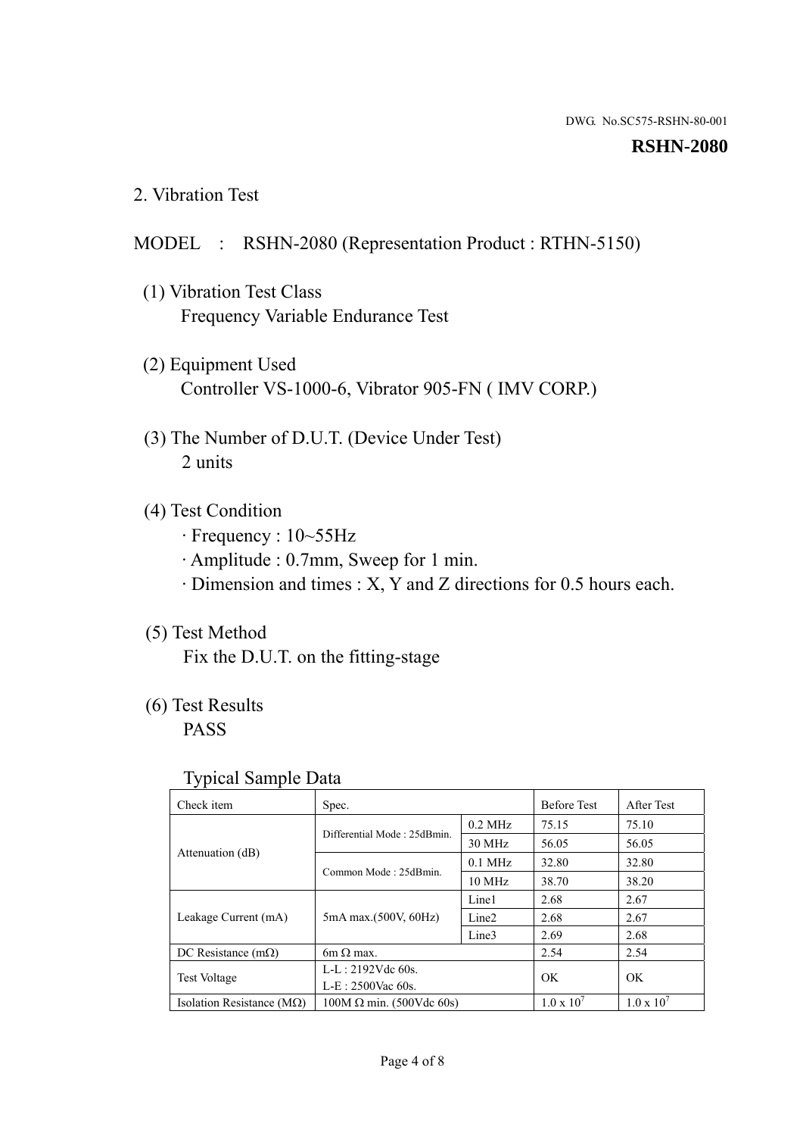#### **RSHN-2080**

2. Vibration Test

## MODEL : RSHN-2080 (Representation Product : RTHN-5150)

- (1) Vibration Test Class Frequency Variable Endurance Test
- (2) Equipment Used Controller VS-1000-6, Vibrator 905-FN ( IMV CORP.)
- (3) The Number of D.U.T. (Device Under Test) 2 units
- (4) Test Condition
	- · Frequency : 10~55Hz
	- · Amplitude : 0.7mm, Sweep for 1 min.
	- · Dimension and times : X, Y and Z directions for 0.5 hours each.

## (5) Test Method

Fix the D.U.T. on the fitting-stage

## (6) Test Results

PASS

#### Typical Sample Data

| Check item                         | Spec.                           |                   | <b>Before Test</b>  | After Test          |
|------------------------------------|---------------------------------|-------------------|---------------------|---------------------|
|                                    | Differential Mode: 25dBmin.     | $0.2$ MHz         | 75.15               | 75.10               |
|                                    |                                 | 30 MHz            | 56.05               | 56.05               |
| Attenuation (dB)                   | Common Mode: 25dBmin.           | $0.1$ MHz         | 32.80               | 32.80               |
|                                    |                                 | 10 MHz            | 38.70               | 38.20               |
| Leakage Current (mA)               | 5mA max.(500V, 60Hz)            | Line1             | 2.68                | 2.67                |
|                                    |                                 | Line <sub>2</sub> | 2.68                | 2.67                |
|                                    |                                 | Line3             | 2.69                | 2.68                |
| DC Resistance $(m\Omega)$          | 6m $\Omega$ max.                |                   | 2.54                | 2.54                |
| <b>Test Voltage</b>                | $L-L: 2192Vdc$ 60s.             |                   | OK                  | OK                  |
|                                    | $L-E$ : 2500Vac 60s.            |                   |                     |                     |
| Isolation Resistance ( $M\Omega$ ) | $100M \Omega$ min. (500Vdc 60s) |                   | $1.0 \times 10^{7}$ | $1.0 \times 10^{7}$ |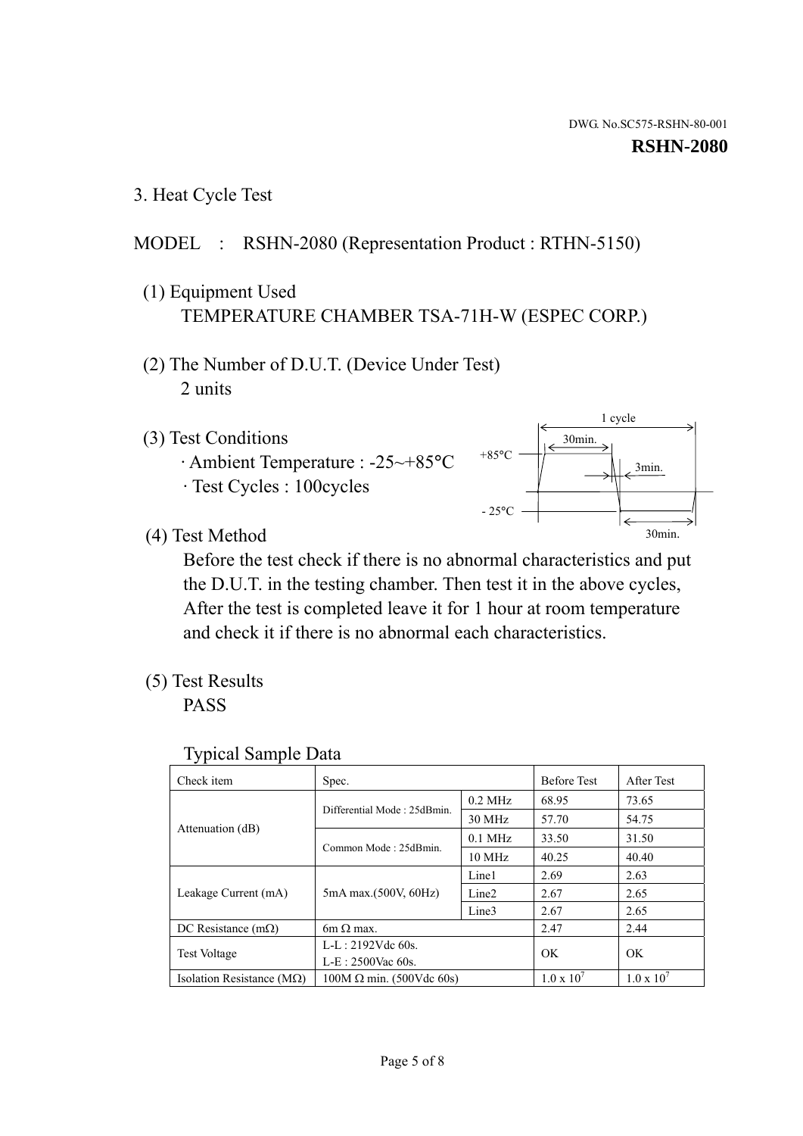1 cycle

30min.

3min.

30min.

#### **RSHN-2080**

3. Heat Cycle Test

## MODEL : RSHN-2080 (Representation Product : RTHN-5150)

- (1) Equipment Used TEMPERATURE CHAMBER TSA-71H-W (ESPEC CORP.)
- (2) The Number of D.U.T. (Device Under Test) 2 units
- (3) Test Conditions
	- · Ambient Temperature : -25~+85°C · Test Cycles : 100cycles
- (4) Test Method

 Before the test check if there is no abnormal characteristics and put the D.U.T. in the testing chamber. Then test it in the above cycles, After the test is completed leave it for 1 hour at room temperature and check it if there is no abnormal each characteristics.

+85°C

 $-25^{\circ}$ C

(5) Test Results

PASS

| Check item                         | Spec.                           |                   | <b>Before Test</b>  | After Test          |
|------------------------------------|---------------------------------|-------------------|---------------------|---------------------|
|                                    | Differential Mode: 25dBmin.     | $0.2$ MHz         | 68.95               | 73.65               |
|                                    |                                 | 30 MHz            | 57.70               | 54.75               |
| Attenuation (dB)                   | Common Mode: 25dBmin.           | $0.1$ MHz         | 33.50               | 31.50               |
|                                    |                                 | $10 \text{ MHz}$  | 40.25               | 40.40               |
| Leakage Current (mA)               | 5mA max.(500V, 60Hz)            | Line1             | 2.69                | 2.63                |
|                                    |                                 | Line <sub>2</sub> | 2.67                | 2.65                |
|                                    |                                 | Line3             | 2.67                | 2.65                |
| DC Resistance $(m\Omega)$          | 6m $\Omega$ max.                |                   | 2.47                | 2.44                |
| <b>Test Voltage</b>                | $L-L: 2192Vdc$ 60s.             |                   | OK.                 | OK                  |
|                                    | $L-E: 2500$ Vac 60s.            |                   |                     |                     |
| Isolation Resistance ( $M\Omega$ ) | $100M \Omega$ min. (500Vdc 60s) |                   | $1.0 \times 10^{7}$ | $1.0 \times 10^{7}$ |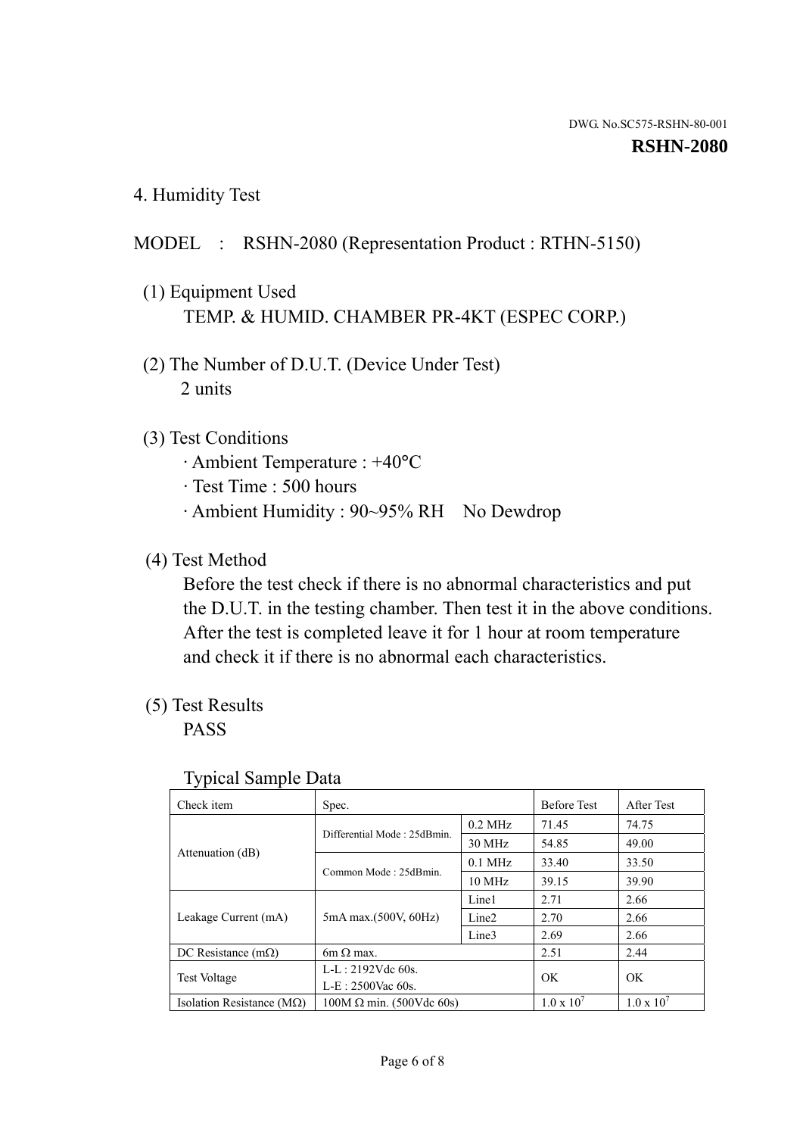4. Humidity Test

### MODEL : RSHN-2080 (Representation Product : RTHN-5150)

- (1) Equipment Used TEMP. & HUMID. CHAMBER PR-4KT (ESPEC CORP.)
- (2) The Number of D.U.T. (Device Under Test) 2 units

#### (3) Test Conditions

- · Ambient Temperature : +40°C
- · Test Time : 500 hours
- · Ambient Humidity : 90~95% RH No Dewdrop

## (4) Test Method

 Before the test check if there is no abnormal characteristics and put the D.U.T. in the testing chamber. Then test it in the above conditions. After the test is completed leave it for 1 hour at room temperature and check it if there is no abnormal each characteristics.

### (5) Test Results

PASS

| ັ່<br>Check item                   | Spec.                       |                   | <b>Before Test</b>  | After Test          |
|------------------------------------|-----------------------------|-------------------|---------------------|---------------------|
|                                    | Differential Mode: 25dBmin. | $0.2$ MHz         | 71.45               | 74.75               |
|                                    |                             | 30 MHz            | 54.85               | 49.00               |
| Attenuation (dB)                   | Common Mode: 25dBmin.       | $0.1$ MHz         | 33.40               | 33.50               |
|                                    |                             | $10 \text{ MHz}$  | 39.15               | 39.90               |
| Leakage Current (mA)               | 5mA max.(500V, 60Hz)        | Line1             | 2.71                | 2.66                |
|                                    |                             | Line <sub>2</sub> | 2.70                | 2.66                |
|                                    |                             | Line3             | 2.69                | 2.66                |
| DC Resistance $(m\Omega)$          | $6m \Omega$ max.            |                   | 2.51                | 2.44                |
| Test Voltage                       | $L-L: 2192Vdc$ 60s.         |                   | OK                  | OK.                 |
|                                    | $L-E: 2500$ Vac 60s.        |                   |                     |                     |
| Isolation Resistance ( $M\Omega$ ) | $100M$ Ω min. (500Vdc 60s)  |                   | $1.0 \times 10^{7}$ | $1.0 \times 10^{7}$ |

#### Typical Sample Data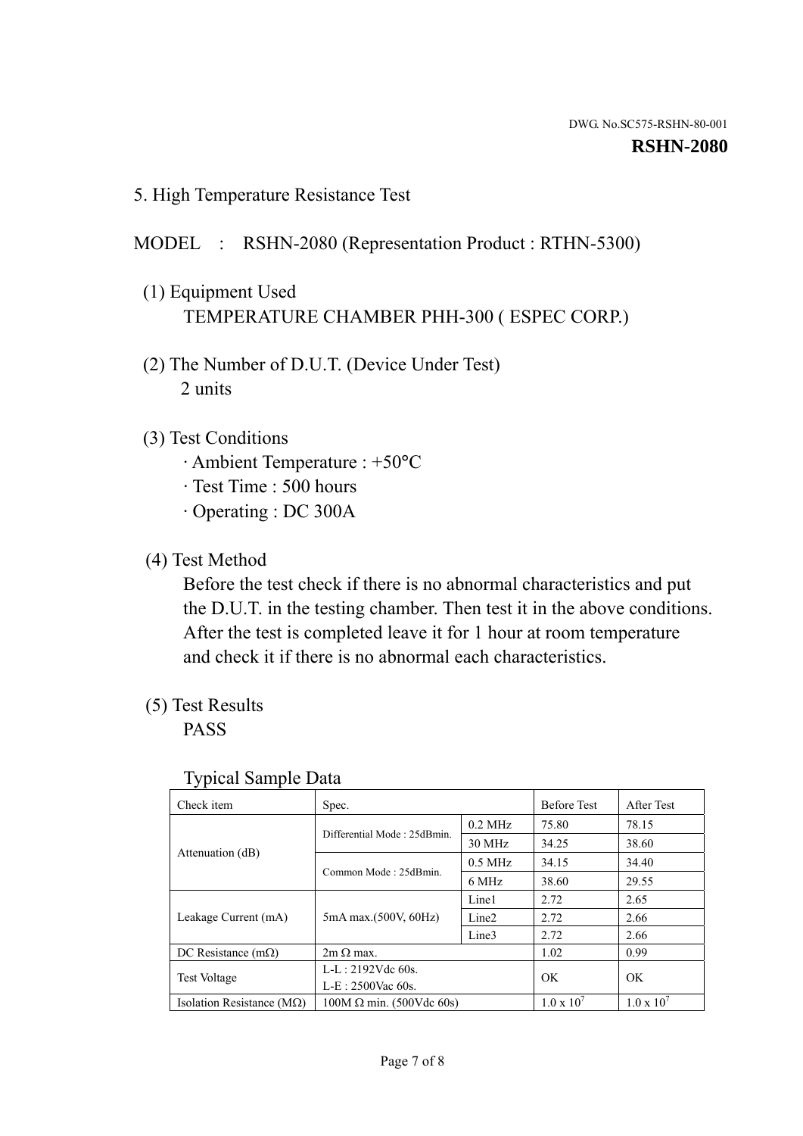5. High Temperature Resistance Test

#### MODEL : RSHN-2080 (Representation Product : RTHN-5300)

- (1) Equipment Used TEMPERATURE CHAMBER PHH-300 ( ESPEC CORP.)
- (2) The Number of D.U.T. (Device Under Test) 2 units
- (3) Test Conditions
	- · Ambient Temperature : +50°C
	- · Test Time : 500 hours
	- · Operating : DC 300A
- (4) Test Method

 Before the test check if there is no abnormal characteristics and put the D.U.T. in the testing chamber. Then test it in the above conditions. After the test is completed leave it for 1 hour at room temperature and check it if there is no abnormal each characteristics.

(5) Test Results

PASS

| Check item                         | Spec.                           |                   | <b>Before Test</b>  | After Test          |
|------------------------------------|---------------------------------|-------------------|---------------------|---------------------|
|                                    | Differential Mode: 25dBmin.     | $0.2$ MHz         | 75.80               | 78.15               |
|                                    |                                 | 30 MHz            | 34.25               | 38.60               |
| Attenuation (dB)                   | Common Mode: 25dBmin.           | $0.5$ MHz         | 34.15               | 34.40               |
|                                    |                                 | 6 MHz             | 38.60               | 29.55               |
| Leakage Current (mA)               | 5mA max.(500V, 60Hz)            | Line1             | 2.72                | 2.65                |
|                                    |                                 | Line <sub>2</sub> | 2.72                | 2.66                |
|                                    |                                 | Line3             | 2.72                | 2.66                |
| DC Resistance $(m\Omega)$          | $2m \Omega$ max.                |                   | 1.02                | 0.99                |
| <b>Test Voltage</b>                | $L-L: 2192Vdc$ 60s.             |                   | OK.                 | OK                  |
|                                    | $L-E: 2500$ Vac 60s.            |                   |                     |                     |
| Isolation Resistance ( $M\Omega$ ) | $100M \Omega$ min. (500Vdc 60s) |                   | $1.0 \times 10^{7}$ | $1.0 \times 10^{7}$ |

#### Typical Sample Data